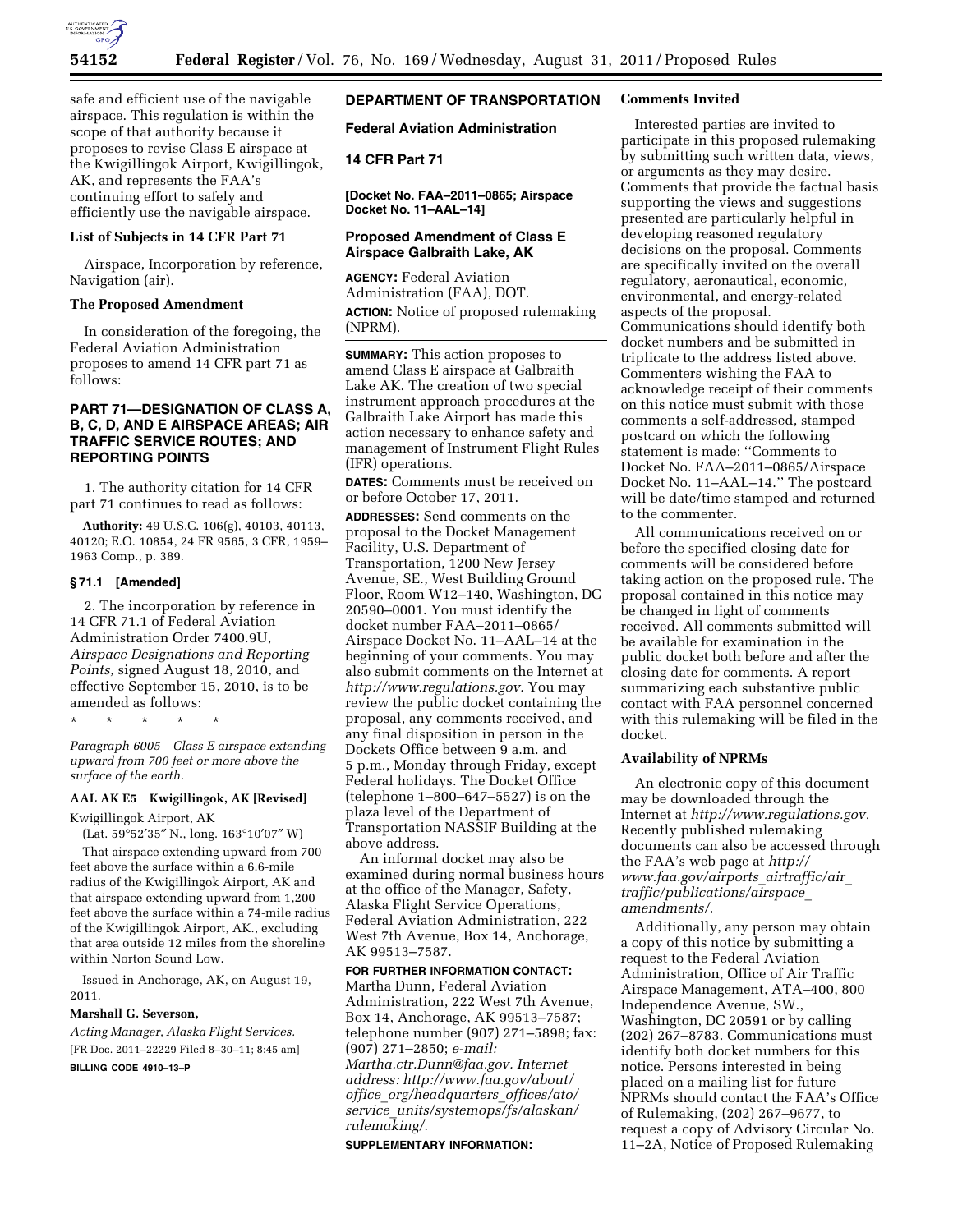

safe and efficient use of the navigable airspace. This regulation is within the scope of that authority because it proposes to revise Class E airspace at the Kwigillingok Airport, Kwigillingok, AK, and represents the FAA's continuing effort to safely and efficiently use the navigable airspace.

## **List of Subjects in 14 CFR Part 71**

Airspace, Incorporation by reference, Navigation (air).

### **The Proposed Amendment**

In consideration of the foregoing, the Federal Aviation Administration proposes to amend 14 CFR part 71 as follows:

# **PART 71—DESIGNATION OF CLASS A, B, C, D, AND E AIRSPACE AREAS; AIR TRAFFIC SERVICE ROUTES; AND REPORTING POINTS**

1. The authority citation for 14 CFR part 71 continues to read as follows:

**Authority:** 49 U.S.C. 106(g), 40103, 40113, 40120; E.O. 10854, 24 FR 9565, 3 CFR, 1959– 1963 Comp., p. 389.

### **§ 71.1 [Amended]**

2. The incorporation by reference in 14 CFR 71.1 of Federal Aviation Administration Order 7400.9U, *Airspace Designations and Reporting Points,* signed August 18, 2010, and effective September 15, 2010, is to be amended as follows:

\* \* \* \* \*

*Paragraph 6005 Class E airspace extending upward from 700 feet or more above the surface of the earth.* 

#### **AAL AK E5 Kwigillingok, AK [Revised]**

Kwigillingok Airport, AK

(Lat. 59°52′35″ N., long. 163°10′07″ W) That airspace extending upward from 700 feet above the surface within a 6.6-mile radius of the Kwigillingok Airport, AK and that airspace extending upward from 1,200 feet above the surface within a 74-mile radius of the Kwigillingok Airport, AK., excluding that area outside 12 miles from the shoreline

Issued in Anchorage, AK, on August 19, 2011.

#### **Marshall G. Severson,**

within Norton Sound Low.

*Acting Manager, Alaska Flight Services.*  [FR Doc. 2011–22229 Filed 8–30–11; 8:45 am]

**BILLING CODE 4910–13–P** 

# **DEPARTMENT OF TRANSPORTATION**

**Federal Aviation Administration** 

### **14 CFR Part 71**

**[Docket No. FAA–2011–0865; Airspace Docket No. 11–AAL–14]** 

### **Proposed Amendment of Class E Airspace Galbraith Lake, AK**

**AGENCY:** Federal Aviation Administration (FAA), DOT. **ACTION:** Notice of proposed rulemaking (NPRM).

**SUMMARY:** This action proposes to amend Class E airspace at Galbraith Lake AK. The creation of two special instrument approach procedures at the Galbraith Lake Airport has made this action necessary to enhance safety and management of Instrument Flight Rules (IFR) operations.

**DATES:** Comments must be received on or before October 17, 2011.

**ADDRESSES:** Send comments on the proposal to the Docket Management Facility, U.S. Department of Transportation, 1200 New Jersey Avenue, SE., West Building Ground Floor, Room W12–140, Washington, DC 20590–0001. You must identify the docket number FAA–2011–0865/ Airspace Docket No. 11–AAL–14 at the beginning of your comments. You may also submit comments on the Internet at *[http://www.regulations.gov.](http://www.regulations.gov)* You may review the public docket containing the proposal, any comments received, and any final disposition in person in the Dockets Office between 9 a.m. and 5 p.m., Monday through Friday, except Federal holidays. The Docket Office (telephone 1–800–647–5527) is on the plaza level of the Department of Transportation NASSIF Building at the above address.

An informal docket may also be examined during normal business hours at the office of the Manager, Safety, Alaska Flight Service Operations, Federal Aviation Administration, 222 West 7th Avenue, Box 14, Anchorage, AK 99513–7587.

#### **FOR FURTHER INFORMATION CONTACT:**

Martha Dunn, Federal Aviation Administration, 222 West 7th Avenue, Box 14, Anchorage, AK 99513–7587; telephone number (907) 271–5898; fax: (907) 271–2850; *e-mail: Martha.ctr.Dunn@faa.gov. Internet address: http://www.faa.gov/about/ office*\_*org/headquarters*\_*offices/ato/ service*\_*units/systemops/fs/alaskan/ rulemaking/.* 

#### **SUPPLEMENTARY INFORMATION:**

### **Comments Invited**

Interested parties are invited to participate in this proposed rulemaking by submitting such written data, views, or arguments as they may desire. Comments that provide the factual basis supporting the views and suggestions presented are particularly helpful in developing reasoned regulatory decisions on the proposal. Comments are specifically invited on the overall regulatory, aeronautical, economic, environmental, and energy-related aspects of the proposal. Communications should identify both docket numbers and be submitted in triplicate to the address listed above. Commenters wishing the FAA to acknowledge receipt of their comments on this notice must submit with those comments a self-addressed, stamped postcard on which the following statement is made: ''Comments to Docket No. FAA–2011–0865/Airspace Docket No. 11–AAL–14.'' The postcard will be date/time stamped and returned to the commenter.

All communications received on or before the specified closing date for comments will be considered before taking action on the proposed rule. The proposal contained in this notice may be changed in light of comments received. All comments submitted will be available for examination in the public docket both before and after the closing date for comments. A report summarizing each substantive public contact with FAA personnel concerned with this rulemaking will be filed in the docket.

### **Availability of NPRMs**

An electronic copy of this document may be downloaded through the Internet at *[http://www.regulations.gov.](http://www.regulations.gov)*  Recently published rulemaking documents can also be accessed through the FAA's web page at *[http://](http://www.faa.gov/airports_airtraffic/air_traffic/publications/airspace_amendments/) [www.faa.gov/airports](http://www.faa.gov/airports_airtraffic/air_traffic/publications/airspace_amendments/)*\_*airtraffic/air*\_ *[traffic/publications/airspace](http://www.faa.gov/airports_airtraffic/air_traffic/publications/airspace_amendments/)*\_ *[amendments/.](http://www.faa.gov/airports_airtraffic/air_traffic/publications/airspace_amendments/)* 

Additionally, any person may obtain a copy of this notice by submitting a request to the Federal Aviation Administration, Office of Air Traffic Airspace Management, ATA–400, 800 Independence Avenue, SW., Washington, DC 20591 or by calling (202) 267–8783. Communications must identify both docket numbers for this notice. Persons interested in being placed on a mailing list for future NPRMs should contact the FAA's Office of Rulemaking, (202) 267–9677, to request a copy of Advisory Circular No. 11–2A, Notice of Proposed Rulemaking